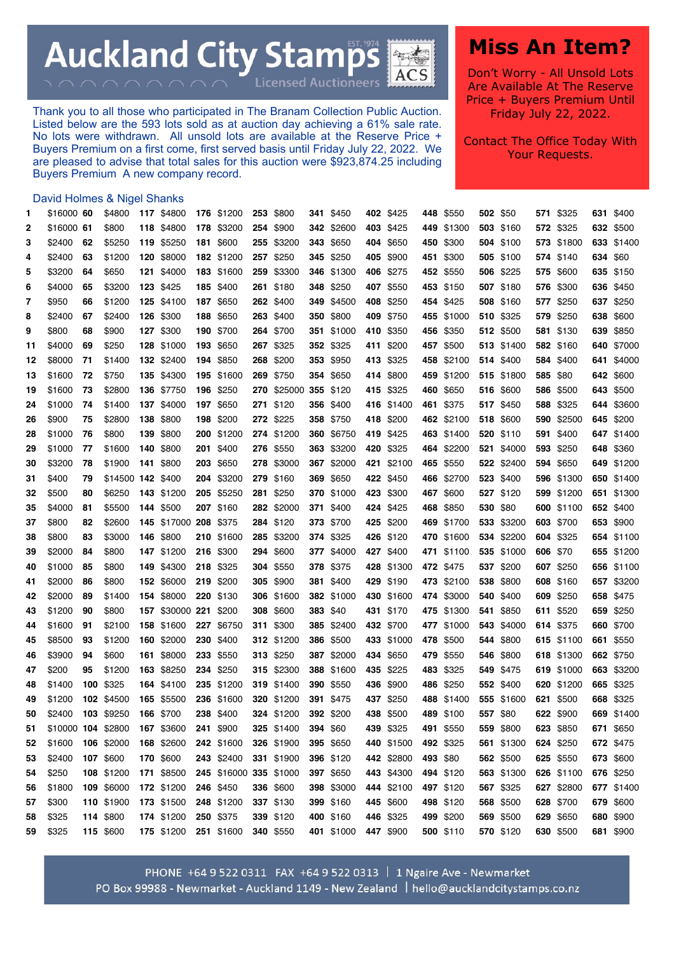**Auckland City Stamps** 中国 **ACS** 

**Licensed Auctioneers** 

Thank you to all those who participated in The Branam Collection Public Auction. Listed below are the 593 lots sold as at auction day achieving a 61% sale rate. No lots were withdrawn. All unsold lots are available at the Reserve Price + Buyers Premium on a first come, first served basis until Friday July 22, 2022. We are pleased to advise that total sales for this auction were \$923,874.25 including Buyers Premium A new company record.

## **Miss An Item?**

Don't Worry - All Unsold Lots Are Available At The Reserve Price + Buyers Premium Until Friday July 22, 2022.

Contact The Office Today With Your Requests.

## David Holmes & Nigel Shanks

| 1  | \$16000 60         |    | \$4800            | 117 \$4800            | 176 \$1200             | 253 | \$800                 |          | 341 \$450  | 402 \$425  |          | 448 \$550  |          | 502 \$50   |          | 571 \$325         | 631 \$400  |
|----|--------------------|----|-------------------|-----------------------|------------------------|-----|-----------------------|----------|------------|------------|----------|------------|----------|------------|----------|-------------------|------------|
| 2  | \$16000 61         |    | \$800             | 118 \$4800            | 178 \$3200             |     | 254 \$900             |          | 342 \$2600 | 403 \$425  |          | 449 \$1300 |          | 503 \$160  |          | 572 \$325         | 632 \$500  |
| 3  | \$2400             | 62 | \$5250            | 119 \$5250            | 181 \$600              |     | 255 \$3200            |          | 343 \$650  | 404 \$650  |          | 450 \$300  |          | 504 \$100  |          | 573 \$1800        | 633 \$1400 |
| 4  | \$2400             | 63 | \$1200            | 120 \$8000            | 182 \$1200             |     | 257 \$250             |          | 345 \$250  | 405 \$900  |          | 451 \$300  |          | 505 \$100  |          | 574 \$140         | 634 \$60   |
| 5  | \$3200             | 64 | \$650             | 121 \$4000            | 183 \$1600             |     | 259 \$3300            |          | 346 \$1300 | 406 \$275  |          | 452 \$550  |          | 506 \$225  |          | 575 \$600         | 635 \$150  |
| 6  | \$4000             | 65 | \$3200            | 123 \$425             | 185 \$400              |     | 261 \$180             |          | 348 \$250  | 407 \$550  |          | 453 \$150  |          | 507 \$180  |          | 576 \$300         | 636 \$450  |
| 7  | \$950              | 66 | \$1200            | 125 \$4100            | 187 \$650              |     | 262 \$400             |          | 349 \$4500 | 408 \$250  |          | 454 \$425  |          | 508 \$160  |          | 577 \$250         | 637 \$250  |
| 8  | \$2400             | 67 | \$2400            | 126 \$300             | 188 \$650              |     | 263 \$400             |          | 350 \$800  | 409 \$750  |          | 455 \$1000 |          | 510 \$325  |          | 579 \$250         | 638 \$600  |
| 9  | \$800              | 68 | \$900             | 127 \$300             | 190 \$700              |     | 264 \$700             |          | 351 \$1000 | 410 \$350  |          | 456 \$350  |          | 512 \$500  |          | 581 \$130         | 639 \$850  |
| 11 | \$4000             | 69 | \$250             | 128 \$1000            | 193 \$650              |     | 267 \$325             |          | 352 \$325  | 411 \$200  |          | 457 \$500  |          | 513 \$1400 |          | 582 \$160         | 640 \$7000 |
| 12 | \$8000             | 71 | \$1400            | 132 \$2400            | 194 \$850              |     | 268 \$200             |          | 353 \$950  | 413 \$325  |          | 458 \$2100 |          | 514 \$400  |          | 584 \$400         | 641 \$4000 |
| 13 | \$1600             | 72 | \$750             | 135 \$4300            | 195 \$1600             |     | 269 \$750             |          | 354 \$650  | 414 \$800  |          | 459 \$1200 |          | 515 \$1800 |          | 585 \$80          | 642 \$600  |
| 19 | \$1600             | 73 | \$2800            | 136 \$7750            | 196 \$250              |     | 270 \$25000 355 \$120 |          |            | 415 \$325  |          | 460 \$650  |          | 516 \$600  |          | 586 \$500         | 643 \$500  |
| 24 | \$1000             | 74 | \$1400            | 137 \$4000            | 197 \$650              |     | 271 \$120             |          | 356 \$400  | 416 \$1400 |          | 461 \$375  |          | 517 \$450  |          | 588 \$325         | 644 \$3600 |
| 26 | \$900              | 75 | \$2800            | 138 \$800             | 198 \$200              |     | 272 \$225             |          | 358 \$750  | 418 \$200  |          | 462 \$2100 |          | 518 \$600  |          | <b>590</b> \$2500 | 645 \$200  |
| 28 | \$1000             | 76 | \$800             | 139 \$800             | 200 \$1200             |     | 274 \$1200            |          | 360 \$6750 | 419 \$425  |          | 463 \$1400 |          | 520 \$110  |          | 591 \$400         | 647 \$1400 |
| 29 | \$1000             | 77 | \$1600            | 140 \$800             | 201 \$400              |     | 276 \$550             |          | 363 \$3200 | 420 \$325  |          | 464 \$2200 |          | 521 \$4000 |          | 593 \$250         | 648 \$360  |
| 30 | \$3200             | 78 | \$1900            | 141 \$800             | 203 \$650              |     | 278 \$3000            |          | 367 \$2000 | 421 \$2100 |          | 465 \$550  |          | 522 \$2400 |          | 594 \$650         | 649 \$1200 |
| 31 | \$400              | 79 | \$14500 142 \$400 |                       | 204 \$3200             |     | 279 \$160             |          | 369 \$650  | 422 \$450  |          | 466 \$2700 |          | 523 \$400  |          | 596 \$1300        | 650 \$1400 |
| 32 | \$500              | 80 | \$6250            | 143 \$1200            | 205 \$5250             |     | 281 \$250             |          | 370 \$1000 | 423 \$300  |          | 467 \$600  |          | 527 \$120  |          | 599 \$1200        | 651 \$1300 |
| 35 | \$4000             | 81 | \$5500            | 144 \$500             | 207 \$160              |     | 282 \$2000            |          | 371 \$400  | 424 \$425  |          | 468 \$850  | 530 \$80 |            |          | 600 \$1100        | 652 \$400  |
| 37 | \$800              | 82 | \$2600            | 145 \$17000 208 \$375 |                        |     | 284 \$120             |          | 373 \$700  | 425 \$200  |          | 469 \$1700 |          | 533 \$3200 |          | 603 \$700         | 653 \$900  |
| 38 | \$800              | 83 | \$3000            | 146 \$800             | 210 \$1600             |     | 285 \$3200            |          | 374 \$325  | 426 \$120  |          | 470 \$1600 |          | 534 \$2200 |          | 604 \$325         | 654 \$1100 |
| 39 | \$2000             | 84 | \$800             | 147 \$1200            | 216 \$300              |     | 294 \$600             |          | 377 \$4000 | 427 \$400  |          | 471 \$1100 |          | 535 \$1000 | 606 \$70 |                   | 655 \$1200 |
| 40 | \$1000             | 85 | \$800             | 149 \$4300            | 218 \$325              |     | 304 \$550             |          | 378 \$375  | 428 \$1300 |          | 472 \$475  |          | 537 \$200  |          | 607 \$250         | 656 \$1100 |
| 41 | \$2000             | 86 | \$800             | 152 \$6000            | 219 \$200              |     | 305 \$900             |          | 381 \$400  | 429 \$190  |          | 473 \$2100 |          | 538 \$800  |          | 608 \$160         | 657 \$3200 |
| 42 | \$2000             | 89 | \$1400            | 154 \$8000            | 220 \$130              |     | 306 \$1600            |          | 382 \$1000 | 430 \$1600 |          | 474 \$3000 |          | 540 \$400  |          | 609 \$250         | 658 \$475  |
| 43 | \$1200             | 90 | \$800             | 157 \$30000 221 \$200 |                        |     | 308 \$600             |          | 383 \$40   | 431 \$170  |          | 475 \$1300 |          | 541 \$850  |          | 611 \$520         | 659 \$250  |
| 44 | \$1600             | 91 | \$2100            | 158 \$1600            | 227 \$6750             |     | 311 \$300             |          | 385 \$2400 | 432 \$700  |          | 477 \$1000 |          | 543 \$4000 |          | 614 \$375         | 660 \$700  |
| 45 | \$8500             | 93 | \$1200            | 160 \$2000            | 230 \$400              |     | 312 \$1200            |          | 386 \$500  | 433 \$1000 |          | 478 \$500  |          | 544 \$800  |          | 615 \$1100        | 661 \$550  |
| 46 | \$3900             | 94 | \$600             | 161 \$8000            | 233 \$550              |     | 313 \$250             |          | 387 \$2000 | 434 \$650  |          | 479 \$550  |          | 546 \$800  |          | 618 \$1300        | 662 \$750  |
| 47 | \$200              | 95 | \$1200            | 163 \$8250            | 234 \$250              |     | 315 \$2300            |          | 388 \$1600 | 435 \$225  |          | 483 \$325  |          | 549 \$475  |          | 619 \$1000        | 663 \$3200 |
| 48 | \$1400             |    | 100 \$325         | 164 \$4100            | 235 \$1200             |     | 319 \$1400            |          | 390 \$550  | 436 \$900  |          | 486 \$250  |          | 552 \$400  |          | 620 \$1200        | 665 \$325  |
| 49 | \$1200             |    | 102 \$4500        | 165 \$5500            | 236 \$1600             |     | 320 \$1200            | 391      | \$475      | 437 \$250  |          | 488 \$1400 |          | 555 \$1600 |          | 621 \$500         | 668 \$325  |
| 50 | \$2400             |    | 103 \$9250        | 166 \$700             | 238 \$400              |     | 324 \$1200            |          | 392 \$200  | 438 \$500  |          | 489 \$100  | 557 \$80 |            |          | 622 \$900         | 669 \$1400 |
| 51 | \$10000 104 \$2800 |    |                   | 167 \$3600            | 241 \$900              |     | 325 \$1400            | 394 \$60 |            | 439 \$325  |          | 491 \$550  |          | 559 \$800  |          | 623 \$850         | 671 \$650  |
| 52 | \$1600             |    | 106 \$2000        | 168 \$2600            | 242 \$1600             |     | 326 \$1900            |          | 395 \$650  | 440 \$1500 |          | 492 \$325  |          | 561 \$1300 |          | 624 \$250         | 672 \$475  |
| 53 | \$2400             |    | 107 \$600         | 170 \$600             | 243 \$2400             |     | 331 \$1900            |          | 396 \$120  | 442 \$2800 | 493 \$80 |            |          | 562 \$500  |          | 625 \$550         | 673 \$600  |
| 54 | \$250              |    | 108 \$1200        | 171 \$8500            | 245 \$16000 335 \$1000 |     |                       |          | 397 \$650  | 443 \$4300 |          | 494 \$120  |          | 563 \$1300 |          | 626 \$1100        | 676 \$250  |
| 56 | \$1800             |    | 109 \$6000        | 172 \$1200            | 246 \$450              |     | 336 \$600             |          | 398 \$3000 | 444 \$2100 |          | 497 \$120  |          | 567 \$325  |          | 627 \$2800        | 677 \$1400 |
| 57 | \$300              |    | 110 \$1900        | 173 \$1500            | 248 \$1200             |     | 337 \$130             |          | 399 \$160  | 445 \$600  |          | 498 \$120  |          | 568 \$500  |          | 628 \$700         | 679 \$600  |
| 58 | \$325              |    | 114 \$800         | 174 \$1200            | 250 \$375              |     | 339 \$120             |          | 400 \$160  | 446 \$325  |          | 499 \$200  |          | 569 \$500  |          | 629 \$650         | 680 \$900  |
| 59 | \$325              |    | 115 \$600         | 175 \$1200            | 251 \$1600             |     | 340 \$550             |          | 401 \$1000 | 447 \$900  |          | 500 \$110  |          | 570 \$120  |          | 630 \$500         | 681 \$900  |

PHONE +64 9 522 0311 FAX +64 9 522 0313 | 1 Ngaire Ave - Newmarket PO Box 99988 - Newmarket - Auckland 1149 - New Zealand | hello@aucklandcitystamps.co.nz